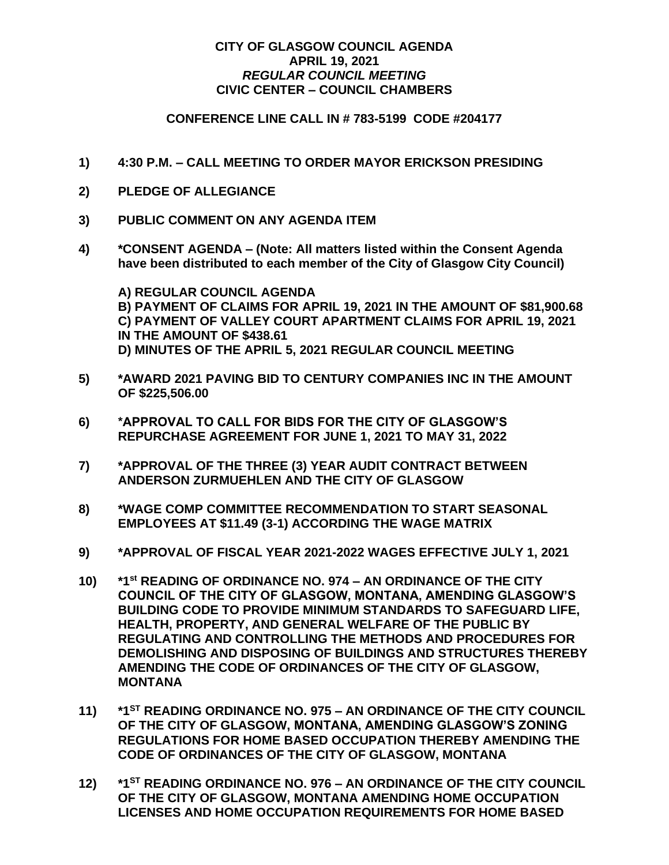## **CITY OF GLASGOW COUNCIL AGENDA APRIL 19, 2021** *REGULAR COUNCIL MEETING* **CIVIC CENTER – COUNCIL CHAMBERS**

## **CONFERENCE LINE CALL IN # 783-5199 CODE #204177**

- **1) 4:30 P.M. – CALL MEETING TO ORDER MAYOR ERICKSON PRESIDING**
- **2) PLEDGE OF ALLEGIANCE**
- **3) PUBLIC COMMENT ON ANY AGENDA ITEM**
- **4) \*CONSENT AGENDA – (Note: All matters listed within the Consent Agenda have been distributed to each member of the City of Glasgow City Council)**

**A) REGULAR COUNCIL AGENDA B) PAYMENT OF CLAIMS FOR APRIL 19, 2021 IN THE AMOUNT OF \$81,900.68 C) PAYMENT OF VALLEY COURT APARTMENT CLAIMS FOR APRIL 19, 2021 IN THE AMOUNT OF \$438.61 D) MINUTES OF THE APRIL 5, 2021 REGULAR COUNCIL MEETING**

- **5) \*AWARD 2021 PAVING BID TO CENTURY COMPANIES INC IN THE AMOUNT OF \$225,506.00**
- **6) \*APPROVAL TO CALL FOR BIDS FOR THE CITY OF GLASGOW'S REPURCHASE AGREEMENT FOR JUNE 1, 2021 TO MAY 31, 2022**
- **7) \*APPROVAL OF THE THREE (3) YEAR AUDIT CONTRACT BETWEEN ANDERSON ZURMUEHLEN AND THE CITY OF GLASGOW**
- **8) \*WAGE COMP COMMITTEE RECOMMENDATION TO START SEASONAL EMPLOYEES AT \$11.49 (3-1) ACCORDING THE WAGE MATRIX**
- **9) \*APPROVAL OF FISCAL YEAR 2021-2022 WAGES EFFECTIVE JULY 1, 2021**
- **10) \*1 st READING OF ORDINANCE NO. 974 – AN ORDINANCE OF THE CITY COUNCIL OF THE CITY OF GLASGOW, MONTANA, AMENDING GLASGOW'S BUILDING CODE TO PROVIDE MINIMUM STANDARDS TO SAFEGUARD LIFE, HEALTH, PROPERTY, AND GENERAL WELFARE OF THE PUBLIC BY REGULATING AND CONTROLLING THE METHODS AND PROCEDURES FOR DEMOLISHING AND DISPOSING OF BUILDINGS AND STRUCTURES THEREBY AMENDING THE CODE OF ORDINANCES OF THE CITY OF GLASGOW, MONTANA**
- **11) \*1ST READING ORDINANCE NO. 975 – AN ORDINANCE OF THE CITY COUNCIL OF THE CITY OF GLASGOW, MONTANA, AMENDING GLASGOW'S ZONING REGULATIONS FOR HOME BASED OCCUPATION THEREBY AMENDING THE CODE OF ORDINANCES OF THE CITY OF GLASGOW, MONTANA**
- **12) \*1ST READING ORDINANCE NO. 976 – AN ORDINANCE OF THE CITY COUNCIL OF THE CITY OF GLASGOW, MONTANA AMENDING HOME OCCUPATION LICENSES AND HOME OCCUPATION REQUIREMENTS FOR HOME BASED**